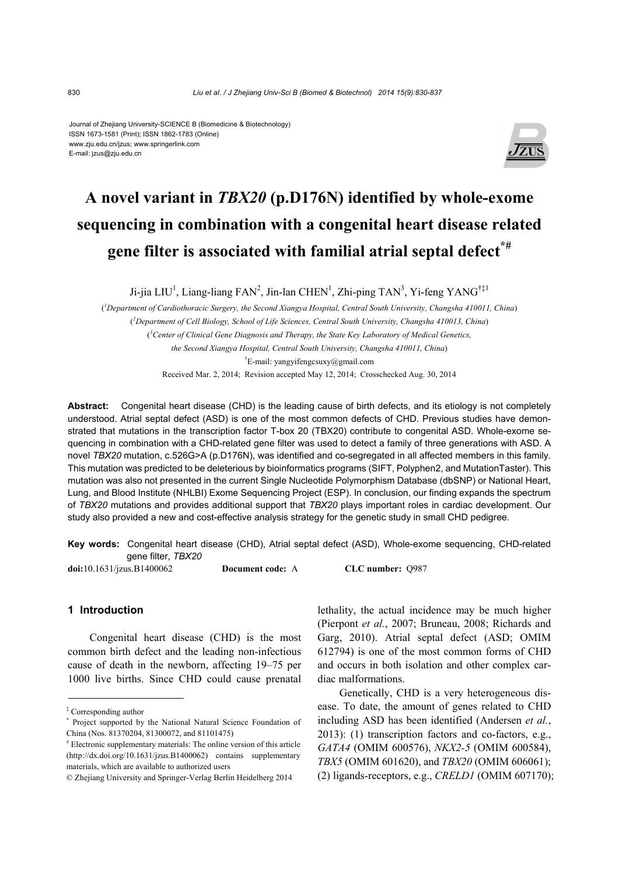#### Journal of Zhejiang University-SCIENCE B (Biomedicine & Biotechnology) ISSN 1673-1581 (Print); ISSN 1862-1783 (Online) www.zju.edu.cn/jzus; www.springerlink.com E-mail: jzus@zju.edu.cn



## **A novel variant in** *TBX20* **(p.D176N) identified by whole-exome sequencing in combination with a congenital heart disease related gene filter is associated with familial atrial septal defect\*#**

Ji-jia LIU<sup>1</sup>, Liang-liang FAN<sup>2</sup>, Jin-lan CHEN<sup>1</sup>, Zhi-ping TAN<sup>3</sup>, Yi-feng YANG<sup>†‡1</sup>

( *1 Department of Cardiothoracic Surgery, the Second Xiangya Hospital, Central South University, Changsha 410011, China*) ( *2 Department of Cell Biology, School of Life Sciences, Central South University, Changsha 410013, China*) ( *3 Center of Clinical Gene Diagnosis and Therapy, the State Key Laboratory of Medical Genetics, the Second Xiangya Hospital, Central South University, Changsha 410011, China*) † E-mail: yangyifengcsuxy@gmail.com Received Mar. 2, 2014; Revision accepted May 12, 2014; Crosschecked Aug. 30, 2014

**Abstract:** Congenital heart disease (CHD) is the leading cause of birth defects, and its etiology is not completely understood. Atrial septal defect (ASD) is one of the most common defects of CHD. Previous studies have demonstrated that mutations in the transcription factor T-box 20 (TBX20) contribute to congenital ASD. Whole-exome sequencing in combination with a CHD-related gene filter was used to detect a family of three generations with ASD. A novel *TBX20* mutation, c.526G>A (p.D176N), was identified and co-segregated in all affected members in this family. This mutation was predicted to be deleterious by bioinformatics programs (SIFT, Polyphen2, and MutationTaster). This mutation was also not presented in the current Single Nucleotide Polymorphism Database (dbSNP) or National Heart, Lung, and Blood Institute (NHLBI) Exome Sequencing Project (ESP). In conclusion, our finding expands the spectrum of *TBX20* mutations and provides additional support that *TBX20* plays important roles in cardiac development. Our study also provided a new and cost-effective analysis strategy for the genetic study in small CHD pedigree.

**Key words:** Congenital heart disease (CHD), Atrial septal defect (ASD), Whole-exome sequencing, CHD-related gene filter, *TBX20*

| $\text{doi: } 10.1631 / \text{jzus}. \text{B}1400062$ | <b>Document code:</b> A | CLC number: Q987 |
|-------------------------------------------------------|-------------------------|------------------|
|-------------------------------------------------------|-------------------------|------------------|

## **1 Introduction**

Congenital heart disease (CHD) is the most common birth defect and the leading non-infectious cause of death in the newborn, affecting 19–75 per 1000 live births. Since CHD could cause prenatal

‡ Corresponding author

lethality, the actual incidence may be much higher (Pierpont *et al.*, 2007; Bruneau, 2008; Richards and Garg, 2010). Atrial septal defect (ASD; OMIM 612794) is one of the most common forms of CHD and occurs in both isolation and other complex cardiac malformations.

Genetically, CHD is a very heterogeneous disease. To date, the amount of genes related to CHD including ASD has been identified (Andersen *et al.*, 2013): (1) transcription factors and co-factors, e.g., *GATA4* (OMIM 600576), *NKX2-5* (OMIM 600584), *TBX5* (OMIM 601620), and *TBX20* (OMIM 606061); (2) ligands-receptors, e.g., *CRELD1* (OMIM 607170);

<sup>\*</sup> Project supported by the National Natural Science Foundation of China (Nos. 81370204, 81300072, and 81101475)

<sup>#</sup> Electronic supplementary materials: The online version of this article (http://dx.doi.org/10.1631/jzus.B1400062) contains supplementary materials, which are available to authorized users

<sup>©</sup> Zhejiang University and Springer-Verlag Berlin Heidelberg 2014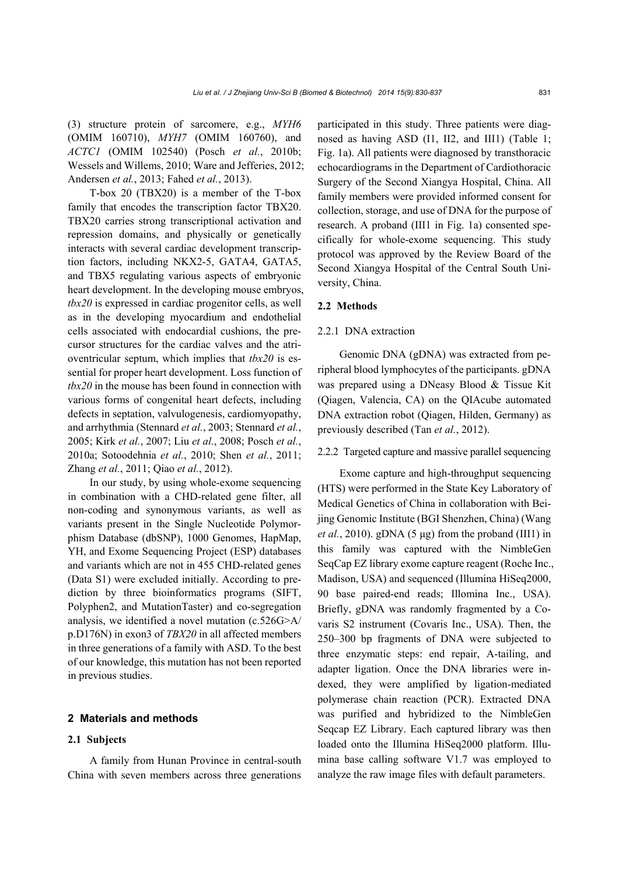(3) structure protein of sarcomere, e.g., *MYH6* (OMIM 160710), *MYH7* (OMIM 160760), and *ACTC1* (OMIM 102540) (Posch *et al.*, 2010b; Wessels and Willems, 2010; Ware and Jefferies, 2012; Andersen *et al.*, 2013; Fahed *et al.*, 2013).

T-box 20 (TBX20) is a member of the T-box family that encodes the transcription factor TBX20. TBX20 carries strong transcriptional activation and repression domains, and physically or genetically interacts with several cardiac development transcription factors, including NKX2-5, GATA4, GATA5, and TBX5 regulating various aspects of embryonic heart development. In the developing mouse embryos, *tbx20* is expressed in cardiac progenitor cells, as well as in the developing myocardium and endothelial cells associated with endocardial cushions, the precursor structures for the cardiac valves and the atrioventricular septum, which implies that *tbx20* is essential for proper heart development. Loss function of *tbx20* in the mouse has been found in connection with various forms of congenital heart defects, including defects in septation, valvulogenesis, cardiomyopathy, and arrhythmia (Stennard *et al.*, 2003; Stennard *et al.*, 2005; Kirk *et al.*, 2007; Liu *et al.*, 2008; Posch *et al.*, 2010a; Sotoodehnia *et al.*, 2010; Shen *et al.*, 2011; Zhang *et al.*, 2011; Qiao *et al.*, 2012).

In our study, by using whole-exome sequencing in combination with a CHD-related gene filter, all non-coding and synonymous variants, as well as variants present in the Single Nucleotide Polymorphism Database (dbSNP), 1000 Genomes, HapMap, YH, and Exome Sequencing Project (ESP) databases and variants which are not in 455 CHD-related genes (Data S1) were excluded initially. According to prediction by three bioinformatics programs (SIFT, Polyphen2, and MutationTaster) and co-segregation analysis, we identified a novel mutation (c.526G>A/ p.D176N) in exon3 of *TBX20* in all affected members in three generations of a family with ASD. To the best of our knowledge, this mutation has not been reported in previous studies.

## **2 Materials and methods**

## **2.1 Subjects**

A family from Hunan Province in central-south China with seven members across three generations participated in this study. Three patients were diagnosed as having ASD (I1, II2, and III1) (Table 1; Fig. 1a). All patients were diagnosed by transthoracic echocardiograms in the Department of Cardiothoracic Surgery of the Second Xiangya Hospital, China. All family members were provided informed consent for collection, storage, and use of DNA for the purpose of research. A proband (III1 in Fig. 1a) consented specifically for whole-exome sequencing. This study protocol was approved by the Review Board of the Second Xiangya Hospital of the Central South University, China.

## **2.2 Methods**

## 2.2.1 DNA extraction

Genomic DNA (gDNA) was extracted from peripheral blood lymphocytes of the participants. gDNA was prepared using a DNeasy Blood & Tissue Kit (Qiagen, Valencia, CA) on the QIAcube automated DNA extraction robot (Qiagen, Hilden, Germany) as previously described (Tan *et al.*, 2012).

## 2.2.2 Targeted capture and massive parallel sequencing

Exome capture and high-throughput sequencing (HTS) were performed in the State Key Laboratory of Medical Genetics of China in collaboration with Beijing Genomic Institute (BGI Shenzhen, China) (Wang *et al.*, 2010). gDNA  $(5 \mu g)$  from the proband (III1) in this family was captured with the NimbleGen SeqCap EZ library exome capture reagent (Roche Inc., Madison, USA) and sequenced (Illumina HiSeq2000, 90 base paired-end reads; Illomina Inc., USA). Briefly, gDNA was randomly fragmented by a Covaris S2 instrument (Covaris Inc., USA). Then, the 250–300 bp fragments of DNA were subjected to three enzymatic steps: end repair, A-tailing, and adapter ligation. Once the DNA libraries were indexed, they were amplified by ligation-mediated polymerase chain reaction (PCR). Extracted DNA was purified and hybridized to the NimbleGen Seqcap EZ Library. Each captured library was then loaded onto the Illumina HiSeq2000 platform. Illumina base calling software V1.7 was employed to analyze the raw image files with default parameters.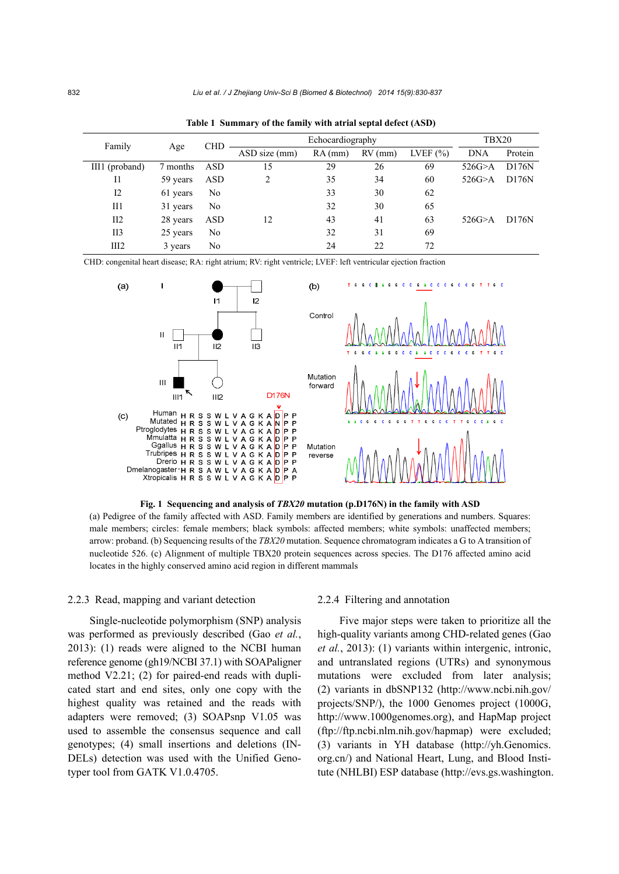| Family          | Age      | <b>CHD</b> |               | TBX20   |           |              |            |         |
|-----------------|----------|------------|---------------|---------|-----------|--------------|------------|---------|
|                 |          |            | ASD size (mm) | RA (mm) | $RV$ (mm) | LVEF $(\% )$ | <b>DNA</b> | Protein |
| III1 (proband)  | 7 months | ASD        | 15            | 29      | 26        | 69           | 526G > A   | D176N   |
| 11              | 59 years | ASD        | 2             | 35      | 34        | 60           | 526G > A   | D176N   |
| 12              | 61 years | No         |               | 33      | 30        | 62           |            |         |
| Ш1              | 31 years | No         |               | 32      | 30        | 65           |            |         |
| II2             | 28 years | <b>ASD</b> | 12            | 43      | 41        | 63           | 526G > A   | D176N   |
| II <sub>3</sub> | 25 years | No         |               | 32      | 31        | 69           |            |         |
| III2            | 3 years  | No         |               | 24      | 22        | 72           |            |         |

**Table 1 Summary of the family with atrial septal defect (ASD)** 

CHD: congenital heart disease; RA: right atrium; RV: right ventricle; LVEF: left ventricular ejection fraction



**Fig. 1 Sequencing and analysis of** *TBX20* **mutation (p.D176N) in the family with ASD**  (a) Pedigree of the family affected with ASD. Family members are identified by generations and numbers. Squares: male members; circles: female members; black symbols: affected members; white symbols: unaffected members; arrow: proband. (b) Sequencing results of the *TBX20* mutation. Sequence chromatogram indicates a G to A transition of nucleotide 526. (c) Alignment of multiple TBX20 protein sequences across species. The D176 affected amino acid locates in the highly conserved amino acid region in different mammals

## 2.2.3 Read, mapping and variant detection

Single-nucleotide polymorphism (SNP) analysis was performed as previously described (Gao *et al.*, 2013): (1) reads were aligned to the NCBI human reference genome (gh19/NCBI 37.1) with SOAPaligner method V2.21; (2) for paired-end reads with duplicated start and end sites, only one copy with the highest quality was retained and the reads with adapters were removed; (3) SOAPsnp V1.05 was used to assemble the consensus sequence and call genotypes; (4) small insertions and deletions (IN-DELs) detection was used with the Unified Genotyper tool from GATK V1.0.4705.

## 2.2.4 Filtering and annotation

Five major steps were taken to prioritize all the high-quality variants among CHD-related genes (Gao *et al.*, 2013): (1) variants within intergenic, intronic, and untranslated regions (UTRs) and synonymous mutations were excluded from later analysis; (2) variants in dbSNP132 (http://www.ncbi.nih.gov/ projects/SNP/), the 1000 Genomes project (1000G, http://www.1000genomes.org), and HapMap project (ftp://ftp.ncbi.nlm.nih.gov/hapmap) were excluded; (3) variants in YH database (http://yh.Genomics. org.cn/) and National Heart, Lung, and Blood Institute (NHLBI) ESP database (http://evs.gs.washington.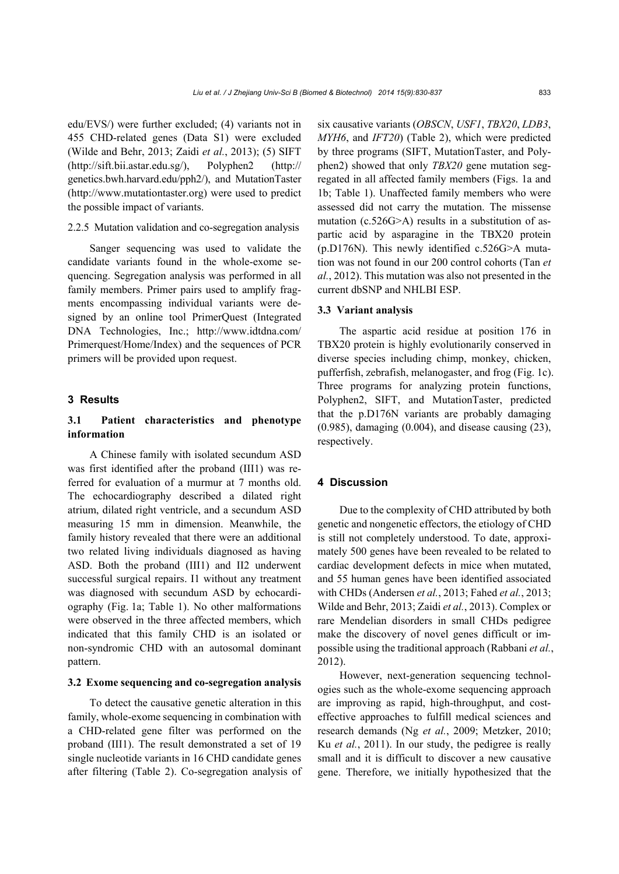edu/EVS/) were further excluded; (4) variants not in 455 CHD-related genes (Data S1) were excluded (Wilde and Behr, 2013; Zaidi *et al.*, 2013); (5) SIFT (http://sift.bii.astar.edu.sg/), Polyphen2 (http:// genetics.bwh.harvard.edu/pph2/), and MutationTaster (http://www.mutationtaster.org) were used to predict the possible impact of variants.

## 2.2.5 Mutation validation and co-segregation analysis

Sanger sequencing was used to validate the candidate variants found in the whole-exome sequencing. Segregation analysis was performed in all family members. Primer pairs used to amplify fragments encompassing individual variants were designed by an online tool PrimerQuest (Integrated DNA Technologies, Inc.; http://www.idtdna.com/ Primerquest/Home/Index) and the sequences of PCR primers will be provided upon request.

## **3 Results**

## **3.1 Patient characteristics and phenotype information**

A Chinese family with isolated secundum ASD was first identified after the proband (III1) was referred for evaluation of a murmur at 7 months old. The echocardiography described a dilated right atrium, dilated right ventricle, and a secundum ASD measuring 15 mm in dimension. Meanwhile, the family history revealed that there were an additional two related living individuals diagnosed as having ASD. Both the proband (III1) and II2 underwent successful surgical repairs. I1 without any treatment was diagnosed with secundum ASD by echocardiography (Fig. 1a; Table 1). No other malformations were observed in the three affected members, which indicated that this family CHD is an isolated or non-syndromic CHD with an autosomal dominant pattern.

## **3.2 Exome sequencing and co-segregation analysis**

To detect the causative genetic alteration in this family, whole-exome sequencing in combination with a CHD-related gene filter was performed on the proband (III1). The result demonstrated a set of 19 single nucleotide variants in 16 CHD candidate genes after filtering (Table 2). Co-segregation analysis of six causative variants (*OBSCN*, *USF1*, *TBX20*, *LDB3*, *MYH6*, and *IFT20*) (Table 2), which were predicted by three programs (SIFT, MutationTaster, and Polyphen2) showed that only *TBX20* gene mutation segregated in all affected family members (Figs. 1a and 1b; Table 1). Unaffected family members who were assessed did not carry the mutation. The missense mutation (c.526G>A) results in a substitution of aspartic acid by asparagine in the TBX20 protein (p.D176N). This newly identified c.526G>A mutation was not found in our 200 control cohorts (Tan *et al.*, 2012). This mutation was also not presented in the current dbSNP and NHLBI ESP.

#### **3.3 Variant analysis**

The aspartic acid residue at position 176 in TBX20 protein is highly evolutionarily conserved in diverse species including chimp, monkey, chicken, pufferfish, zebrafish, melanogaster, and frog (Fig. 1c). Three programs for analyzing protein functions, Polyphen2, SIFT, and MutationTaster, predicted that the p.D176N variants are probably damaging (0.985), damaging (0.004), and disease causing (23), respectively.

## **4 Discussion**

Due to the complexity of CHD attributed by both genetic and nongenetic effectors, the etiology of CHD is still not completely understood. To date, approximately 500 genes have been revealed to be related to cardiac development defects in mice when mutated, and 55 human genes have been identified associated with CHDs (Andersen *et al.*, 2013; Fahed *et al.*, 2013; Wilde and Behr, 2013; Zaidi *et al.*, 2013). Complex or rare Mendelian disorders in small CHDs pedigree make the discovery of novel genes difficult or impossible using the traditional approach (Rabbani *et al.*, 2012).

However, next-generation sequencing technologies such as the whole-exome sequencing approach are improving as rapid, high-throughput, and costeffective approaches to fulfill medical sciences and research demands (Ng *et al.*, 2009; Metzker, 2010; Ku *et al.*, 2011). In our study, the pedigree is really small and it is difficult to discover a new causative gene. Therefore, we initially hypothesized that the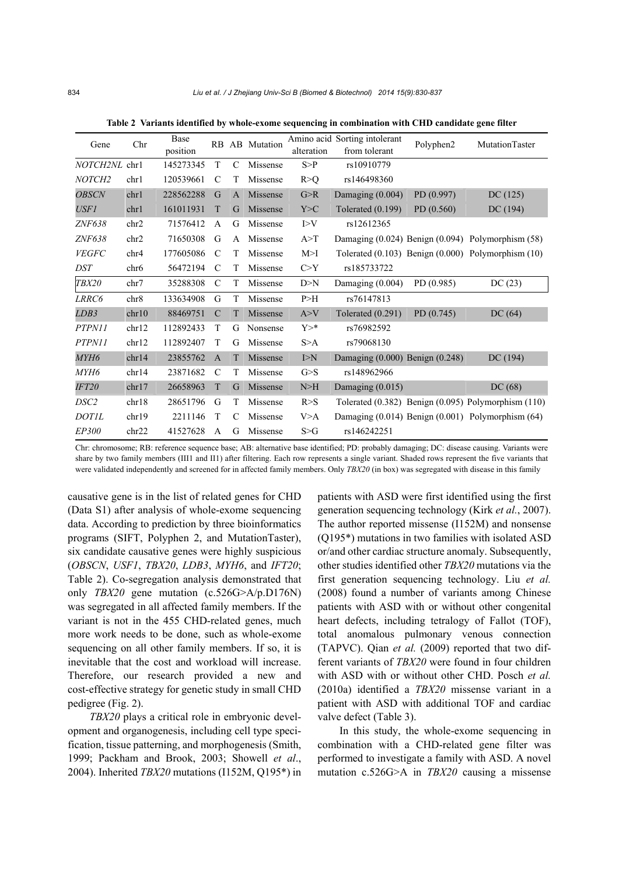| Chr<br>Gene               |                  | Base      |                |              | RB AB Mutation |            | Amino acid Sorting intolerant       | Polyphen2 | MutationTaster                                           |  |
|---------------------------|------------------|-----------|----------------|--------------|----------------|------------|-------------------------------------|-----------|----------------------------------------------------------|--|
|                           |                  | position  |                |              |                | alteration | from tolerant                       |           |                                                          |  |
| NOTCH <sub>2NL</sub> chr1 |                  | 145273345 | T              | C            | Missense       | S > P      | rs10910779                          |           |                                                          |  |
| NOTCH <sub>2</sub>        | chr1             | 120539661 | C              | T            | Missense       | R > Q      | rs146498360                         |           |                                                          |  |
| <b>OBSCN</b>              | chr1             | 228562288 | G              | $\mathbf{A}$ | Missense       | G>R        | Damaging (0.004)                    | PD(0.997) | DC(125)                                                  |  |
| USF1                      | chr1             | 161011931 | T              | G            | Missense       | Y>C        | Tolerated $(0.199)$                 | PD(0.560) | DC(194)                                                  |  |
| ZNF638                    | chr2             | 71576412  | A              | G            | Missense       | I > V      | rs12612365                          |           |                                                          |  |
| ZNF638                    | chr <sub>2</sub> | 71650308  | G              | $\mathsf{A}$ | Missense       | A > T      |                                     |           | Damaging (0.024) Benign (0.094) Polymorphism (58)        |  |
| <b>VEGFC</b>              | chr4             | 177605086 | C              | T            | Missense       | M>1        |                                     |           | Tolerated $(0.103)$ Benign $(0.000)$ Polymorphism $(10)$ |  |
| <b>DST</b>                | chr <sub>6</sub> | 56472194  | C              | T            | Missense       | C > Y      | rs185733722                         |           |                                                          |  |
| <b>TBX20</b>              | chr7             | 35288308  | $\mathcal{C}$  | T            | Missense       | D>N        | Damaging (0.004)                    | PD(0.985) | DC(23)                                                   |  |
| LRRC6                     | chr8             | 133634908 | G              | T            | Missense       | P > H      | rs76147813                          |           |                                                          |  |
| LDB3                      | chr10            | 88469751  | $\mathcal{C}$  | T            | Missense       | A > V      | Tolerated $(0.291)$                 | PD(0.745) | DC(64)                                                   |  |
| PTPN11                    | chr12            | 112892433 | T              | G            | Nonsense       | $Y >^*$    | rs76982592                          |           |                                                          |  |
| PTPN11                    | chr12            | 112892407 | T              | G            | Missense       | S>A        | rs79068130                          |           |                                                          |  |
| MYH6                      | chr14            | 23855762  | $\overline{A}$ | T            | Missense       | I>N        | Damaging $(0.000)$ Benign $(0.248)$ |           | DC(194)                                                  |  |
| MYH6                      | chr14            | 23871682  | $\mathcal{C}$  | T            | Missense       | G > S      | rs148962966                         |           |                                                          |  |
| <b>IFT20</b>              | chr17            | 26658963  | T              | G            | Missense       | N>H        | Damaging $(0.015)$                  |           | DC(68)                                                   |  |
| DSC <sub>2</sub>          | chr18            | 28651796  | G              | T            | Missense       | R > S      |                                     |           | Tolerated (0.382) Benign (0.095) Polymorphism (110)      |  |
| <b>DOTIL</b>              | chr19            | 2211146   | T              | C            | Missense       | V>A        |                                     |           | Damaging $(0.014)$ Benign $(0.001)$ Polymorphism $(64)$  |  |
| EP300                     | chr22            | 41527628  | A              | G            | Missense       | S > G      | rs146242251                         |           |                                                          |  |

**Table 2 Variants identified by whole-exome sequencing in combination with CHD candidate gene filter**

Chr: chromosome; RB: reference sequence base; AB: alternative base identified; PD: probably damaging; DC: disease causing. Variants were share by two family members (III1 and II1) after filtering. Each row represents a single variant. Shaded rows represent the five variants that were validated independently and screened for in affected family members. Only *TBX20* (in box) was segregated with disease in this family

causative gene is in the list of related genes for CHD (Data S1) after analysis of whole-exome sequencing data. According to prediction by three bioinformatics programs (SIFT, Polyphen 2, and MutationTaster), six candidate causative genes were highly suspicious (*OBSCN*, *USF1*, *TBX20*, *LDB3*, *MYH6*, and *IFT20*; Table 2). Co-segregation analysis demonstrated that only *TBX20* gene mutation (c.526G>A/p.D176N) was segregated in all affected family members. If the variant is not in the 455 CHD-related genes, much more work needs to be done, such as whole-exome sequencing on all other family members. If so, it is inevitable that the cost and workload will increase. Therefore, our research provided a new and cost-effective strategy for genetic study in small CHD pedigree (Fig. 2).

*TBX20* plays a critical role in embryonic development and organogenesis, including cell type specification, tissue patterning, and morphogenesis (Smith, 1999; Packham and Brook, 2003; Showell *et al*., 2004). Inherited *TBX20* mutations (I152M, Q195\*) in

patients with ASD were first identified using the first generation sequencing technology (Kirk *et al.*, 2007). The author reported missense (I152M) and nonsense (Q195\*) mutations in two families with isolated ASD or/and other cardiac structure anomaly. Subsequently, other studies identified other *TBX20* mutations via the first generation sequencing technology. Liu *et al.*  (2008) found a number of variants among Chinese patients with ASD with or without other congenital heart defects, including tetralogy of Fallot (TOF), total anomalous pulmonary venous connection (TAPVC). Qian *et al.* (2009) reported that two different variants of *TBX20* were found in four children with ASD with or without other CHD. Posch *et al.* (2010a) identified a *TBX20* missense variant in a patient with ASD with additional TOF and cardiac valve defect (Table 3).

In this study, the whole-exome sequencing in combination with a CHD-related gene filter was performed to investigate a family with ASD. A novel mutation c.526G>A in *TBX20* causing a missense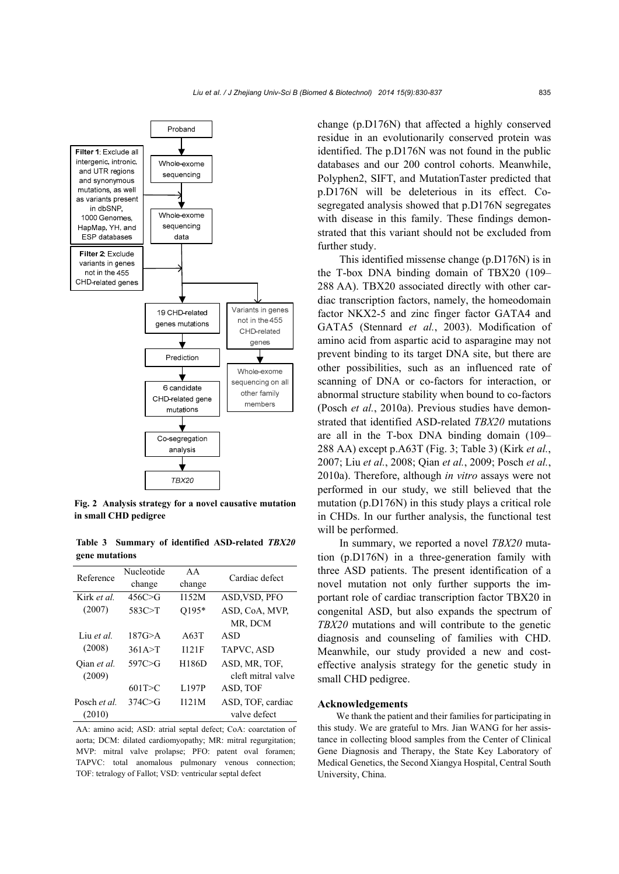

**Fig. 2 Analysis strategy for a novel causative mutation in small CHD pedigree**

**Table 3 Summary of identified ASD-related** *TBX20* **gene mutations** 

| Reference        | Nucleotide | AA           | Cardiac defect     |  |  |
|------------------|------------|--------------|--------------------|--|--|
|                  | change     | change       |                    |  |  |
| Kirk et al.      | 456C > G   | I152M        | ASD, VSD, PFO      |  |  |
| (2007)           | 583C > T   | O195*        | ASD, CoA, MVP,     |  |  |
|                  |            |              | MR, DCM            |  |  |
| Liu <i>et al</i> | 187G > A   | A63T         | ASD                |  |  |
| (2008)           | 361A > T   | 1121F        | TAPVC, ASD         |  |  |
| Oian et al.      | 597C > G   | <b>H186D</b> | ASD, MR, TOF,      |  |  |
| (2009)           |            |              | cleft mitral valve |  |  |
|                  | 601T > C   | L197P        | ASD, TOF           |  |  |
| Posch et al.     | 374C > G   | 1121M        | ASD, TOF, cardiac  |  |  |
| (2010)           |            |              | valve defect       |  |  |

AA: amino acid; ASD: atrial septal defect; CoA: coarctation of aorta; DCM: dilated cardiomyopathy; MR: mitral regurgitation; MVP: mitral valve prolapse; PFO: patent oval foramen; TAPVC: total anomalous pulmonary venous connection; TOF: tetralogy of Fallot; VSD: ventricular septal defect

change (p.D176N) that affected a highly conserved residue in an evolutionarily conserved protein was identified. The p.D176N was not found in the public databases and our 200 control cohorts. Meanwhile, Polyphen2, SIFT, and MutationTaster predicted that p.D176N will be deleterious in its effect. Cosegregated analysis showed that p.D176N segregates with disease in this family. These findings demonstrated that this variant should not be excluded from further study.

This identified missense change (p.D176N) is in the T-box DNA binding domain of TBX20 (109– 288 AA). TBX20 associated directly with other cardiac transcription factors, namely, the homeodomain factor NKX2-5 and zinc finger factor GATA4 and GATA5 (Stennard *et al.*, 2003). Modification of amino acid from aspartic acid to asparagine may not prevent binding to its target DNA site, but there are other possibilities, such as an influenced rate of scanning of DNA or co-factors for interaction, or abnormal structure stability when bound to co-factors (Posch *et al.*, 2010a). Previous studies have demonstrated that identified ASD-related *TBX20* mutations are all in the T-box DNA binding domain (109– 288 AA) except p.A63T (Fig. 3; Table 3) (Kirk *et al.*, 2007; Liu *et al.*, 2008; Qian *et al.*, 2009; Posch *et al.*, 2010a). Therefore, although *in vitro* assays were not performed in our study, we still believed that the mutation (p.D176N) in this study plays a critical role in CHDs. In our further analysis, the functional test will be performed.

In summary, we reported a novel *TBX20* mutation (p.D176N) in a three-generation family with three ASD patients. The present identification of a novel mutation not only further supports the important role of cardiac transcription factor TBX20 in congenital ASD, but also expands the spectrum of *TBX20* mutations and will contribute to the genetic diagnosis and counseling of families with CHD. Meanwhile, our study provided a new and costeffective analysis strategy for the genetic study in small CHD pedigree.

#### **Acknowledgements**

We thank the patient and their families for participating in this study. We are grateful to Mrs. Jian WANG for her assistance in collecting blood samples from the Center of Clinical Gene Diagnosis and Therapy, the State Key Laboratory of Medical Genetics, the Second Xiangya Hospital, Central South University, China.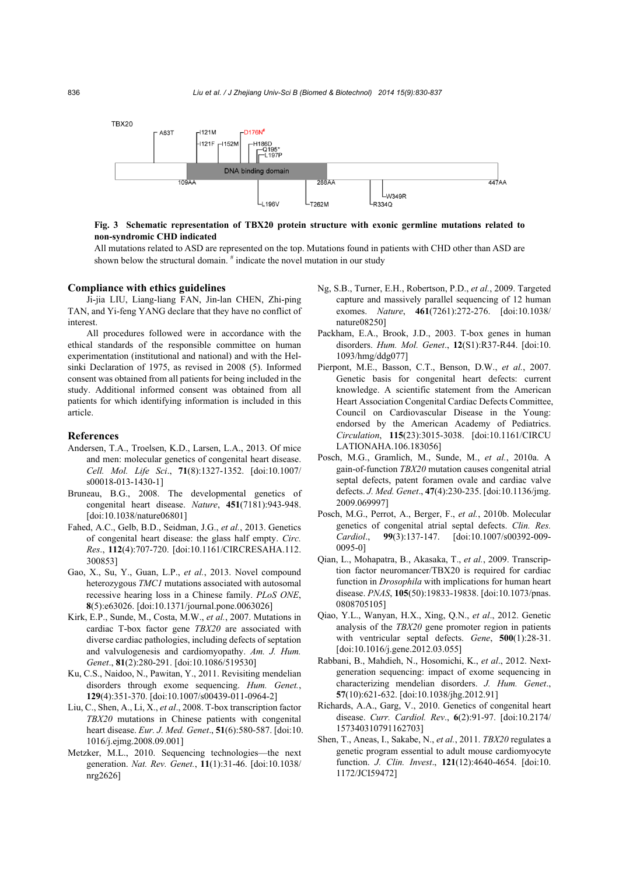

## **Fig. 3 Schematic representation of TBX20 protein structure with exonic germline mutations related to non-syndromic CHD indicated**

All mutations related to ASD are represented on the top. Mutations found in patients with CHD other than ASD are shown below the structural domain. <sup>#</sup> indicate the novel mutation in our study

#### **Compliance with ethics guidelines**

Ji-jia LIU, Liang-liang FAN, Jin-lan CHEN, Zhi-ping TAN, and Yi-feng YANG declare that they have no conflict of interest.

All procedures followed were in accordance with the ethical standards of the responsible committee on human experimentation (institutional and national) and with the Helsinki Declaration of 1975, as revised in 2008 (5). Informed consent was obtained from all patients for being included in the study. Additional informed consent was obtained from all patients for which identifying information is included in this article.

## **References**

- Andersen, T.A., Troelsen, K.D., Larsen, L.A., 2013. Of mice and men: molecular genetics of congenital heart disease. *Cell. Mol. Life Sci*., **71**(8):1327-1352. [doi:10.1007/ s00018-013-1430-1]
- Bruneau, B.G., 2008. The developmental genetics of congenital heart disease. *Nature*, **451**(7181):943-948. [doi:10.1038/nature06801]
- Fahed, A.C., Gelb, B.D., Seidman, J.G., *et al.*, 2013. Genetics of congenital heart disease: the glass half empty. *Circ. Res*., **112**(4):707-720. [doi:10.1161/CIRCRESAHA.112. 300853]
- Gao, X., Su, Y., Guan, L.P., *et al.*, 2013. Novel compound heterozygous *TMC1* mutations associated with autosomal recessive hearing loss in a Chinese family. *PLoS ONE*, **8**(5):e63026. [doi:10.1371/journal.pone.0063026]
- Kirk, E.P., Sunde, M., Costa, M.W., *et al.*, 2007. Mutations in cardiac T-box factor gene *TBX20* are associated with diverse cardiac pathologies, including defects of septation and valvulogenesis and cardiomyopathy. *Am. J. Hum. Genet*., **81**(2):280-291. [doi:10.1086/519530]
- Ku, C.S., Naidoo, N., Pawitan, Y., 2011. Revisiting mendelian disorders through exome sequencing. *Hum. Genet.*, **129**(4):351-370. [doi:10.1007/s00439-011-0964-2]
- Liu, C., Shen, A., Li, X., *et al*., 2008. T-box transcription factor *TBX20* mutations in Chinese patients with congenital heart disease. *Eur. J. Med. Genet*., **51**(6):580-587. [doi:10. 1016/j.ejmg.2008.09.001]
- Metzker, M.L., 2010. Sequencing technologies—the next generation. *Nat. Rev. Genet.*, **11**(1):31-46. [doi:10.1038/ nrg2626]
- Ng, S.B., Turner, E.H., Robertson, P.D., *et al.*, 2009. Targeted capture and massively parallel sequencing of 12 human exomes. *Nature*, **461**(7261):272-276. [doi:10.1038/ nature08250]
- Packham, E.A., Brook, J.D., 2003. T-box genes in human disorders. *Hum. Mol. Genet*., **12**(S1):R37-R44. [doi:10. 1093/hmg/ddg077]
- Pierpont, M.E., Basson, C.T., Benson, D.W., *et al.*, 2007. Genetic basis for congenital heart defects: current knowledge. A scientific statement from the American Heart Association Congenital Cardiac Defects Committee, Council on Cardiovascular Disease in the Young: endorsed by the American Academy of Pediatrics. *Circulation*, **115**(23):3015-3038. [doi:10.1161/CIRCU LATIONAHA.106.183056]
- Posch, M.G., Gramlich, M., Sunde, M., *et al.*, 2010a. A gain-of-function *TBX20* mutation causes congenital atrial septal defects, patent foramen ovale and cardiac valve defects. *J. Med. Genet*., **47**(4):230-235. [doi:10.1136/jmg. 2009.069997]
- Posch, M.G., Perrot, A., Berger, F., *et al.*, 2010b. Molecular genetics of congenital atrial septal defects. *Clin. Res. Cardiol*., **99**(3):137-147. [doi:10.1007/s00392-009- 0095-0]
- Qian, L., Mohapatra, B., Akasaka, T., *et al.*, 2009. Transcription factor neuromancer/TBX20 is required for cardiac function in *Drosophila* with implications for human heart disease. *PNAS*, **105**(50):19833-19838. [doi:10.1073/pnas. 0808705105]
- Qiao, Y.L., Wanyan, H.X., Xing, Q.N., *et al*., 2012. Genetic analysis of the *TBX20* gene promoter region in patients with ventricular septal defects. *Gene*, **500**(1):28-31. [doi:10.1016/j.gene.2012.03.055]
- Rabbani, B., Mahdieh, N., Hosomichi, K., *et al*., 2012. Nextgeneration sequencing: impact of exome sequencing in characterizing mendelian disorders. *J. Hum. Genet*., **57**(10):621-632. [doi:10.1038/jhg.2012.91]
- Richards, A.A., Garg, V., 2010. Genetics of congenital heart disease. *Curr. Cardiol. Rev*., **6**(2):91-97. [doi:10.2174/ 157340310791162703]
- Shen, T., Aneas, I., Sakabe, N., *et al.*, 2011. *TBX20* regulates a genetic program essential to adult mouse cardiomyocyte function. *J. Clin. Invest*., **121**(12):4640-4654. [doi:10. 1172/JCI59472]